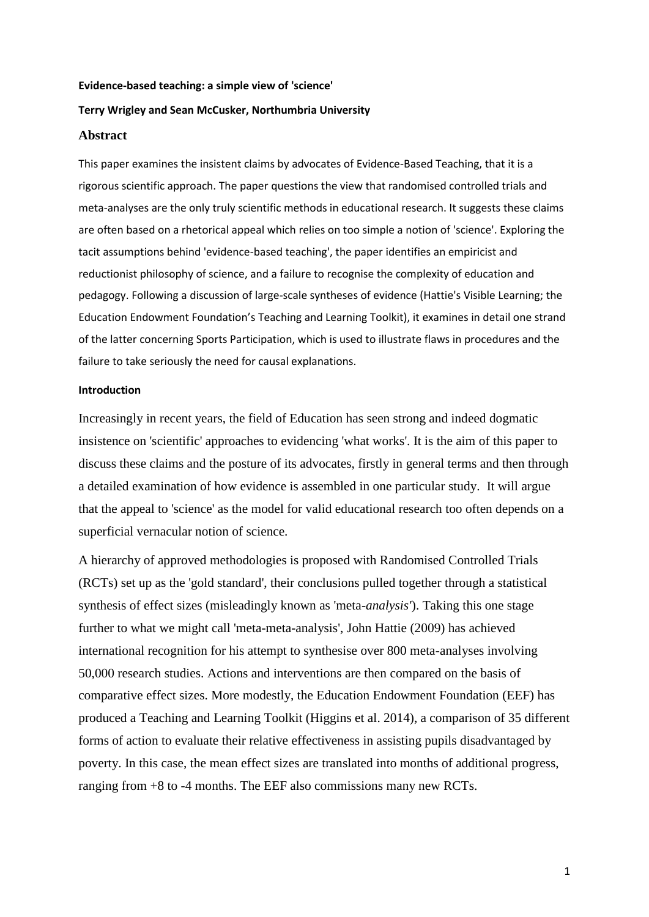# **Evidence-based teaching: a simple view of 'science' Terry Wrigley and Sean McCusker, Northumbria University**

## **Abstract**

This paper examines the insistent claims by advocates of Evidence-Based Teaching, that it is a rigorous scientific approach. The paper questions the view that randomised controlled trials and meta-analyses are the only truly scientific methods in educational research. It suggests these claims are often based on a rhetorical appeal which relies on too simple a notion of 'science'. Exploring the tacit assumptions behind 'evidence-based teaching', the paper identifies an empiricist and reductionist philosophy of science, and a failure to recognise the complexity of education and pedagogy. Following a discussion of large-scale syntheses of evidence (Hattie's Visible Learning; the Education Endowment Foundation's Teaching and Learning Toolkit), it examines in detail one strand of the latter concerning Sports Participation, which is used to illustrate flaws in procedures and the failure to take seriously the need for causal explanations.

## **Introduction**

Increasingly in recent years, the field of Education has seen strong and indeed dogmatic insistence on 'scientific' approaches to evidencing 'what works'. It is the aim of this paper to discuss these claims and the posture of its advocates, firstly in general terms and then through a detailed examination of how evidence is assembled in one particular study. It will argue that the appeal to 'science' as the model for valid educational research too often depends on a superficial vernacular notion of science.

A hierarchy of approved methodologies is proposed with Randomised Controlled Trials (RCTs) set up as the 'gold standard', their conclusions pulled together through a statistical synthesis of effect sizes (misleadingly known as 'meta-*analysis'*). Taking this one stage further to what we might call 'meta-meta-analysis', John Hattie (2009) has achieved international recognition for his attempt to synthesise over 800 meta-analyses involving 50,000 research studies. Actions and interventions are then compared on the basis of comparative effect sizes. More modestly, the Education Endowment Foundation (EEF) has produced a Teaching and Learning Toolkit (Higgins et al. 2014), a comparison of 35 different forms of action to evaluate their relative effectiveness in assisting pupils disadvantaged by poverty. In this case, the mean effect sizes are translated into months of additional progress, ranging from +8 to -4 months. The EEF also commissions many new RCTs.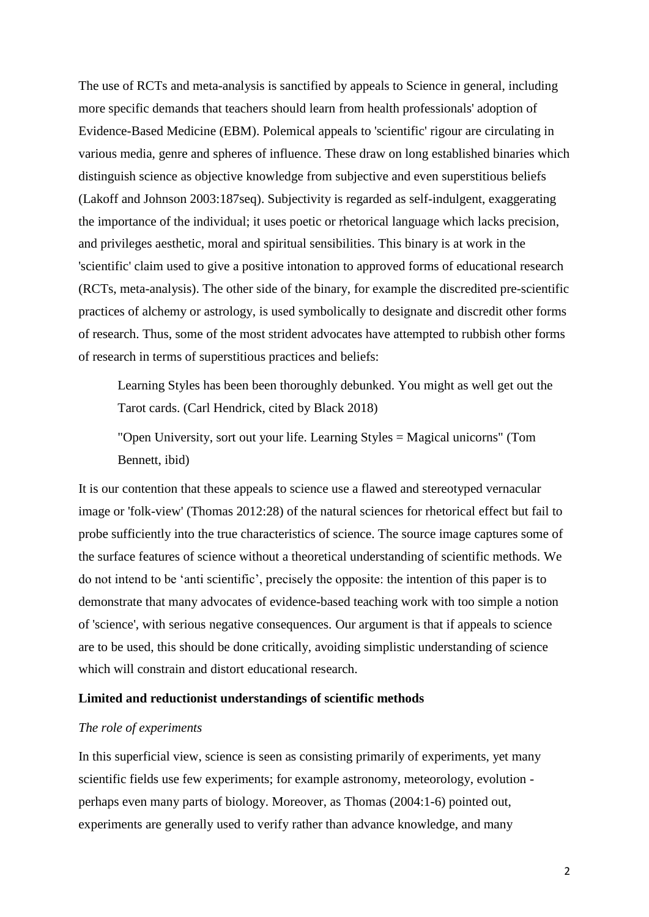The use of RCTs and meta-analysis is sanctified by appeals to Science in general, including more specific demands that teachers should learn from health professionals' adoption of Evidence-Based Medicine (EBM). Polemical appeals to 'scientific' rigour are circulating in various media, genre and spheres of influence. These draw on long established binaries which distinguish science as objective knowledge from subjective and even superstitious beliefs (Lakoff and Johnson 2003:187seq). Subjectivity is regarded as self-indulgent, exaggerating the importance of the individual; it uses poetic or rhetorical language which lacks precision, and privileges aesthetic, moral and spiritual sensibilities. This binary is at work in the 'scientific' claim used to give a positive intonation to approved forms of educational research (RCTs, meta-analysis). The other side of the binary, for example the discredited pre-scientific practices of alchemy or astrology, is used symbolically to designate and discredit other forms of research. Thus, some of the most strident advocates have attempted to rubbish other forms of research in terms of superstitious practices and beliefs:

Learning Styles has been been thoroughly debunked. You might as well get out the Tarot cards. (Carl Hendrick, cited by Black 2018)

"Open University, sort out your life. Learning Styles = Magical unicorns" (Tom Bennett, ibid)

It is our contention that these appeals to science use a flawed and stereotyped vernacular image or 'folk-view' (Thomas 2012:28) of the natural sciences for rhetorical effect but fail to probe sufficiently into the true characteristics of science. The source image captures some of the surface features of science without a theoretical understanding of scientific methods. We do not intend to be 'anti scientific', precisely the opposite: the intention of this paper is to demonstrate that many advocates of evidence-based teaching work with too simple a notion of 'science', with serious negative consequences. Our argument is that if appeals to science are to be used, this should be done critically, avoiding simplistic understanding of science which will constrain and distort educational research.

## **Limited and reductionist understandings of scientific methods**

## *The role of experiments*

In this superficial view, science is seen as consisting primarily of experiments, yet many scientific fields use few experiments; for example astronomy, meteorology, evolution perhaps even many parts of biology. Moreover, as Thomas (2004:1-6) pointed out, experiments are generally used to verify rather than advance knowledge, and many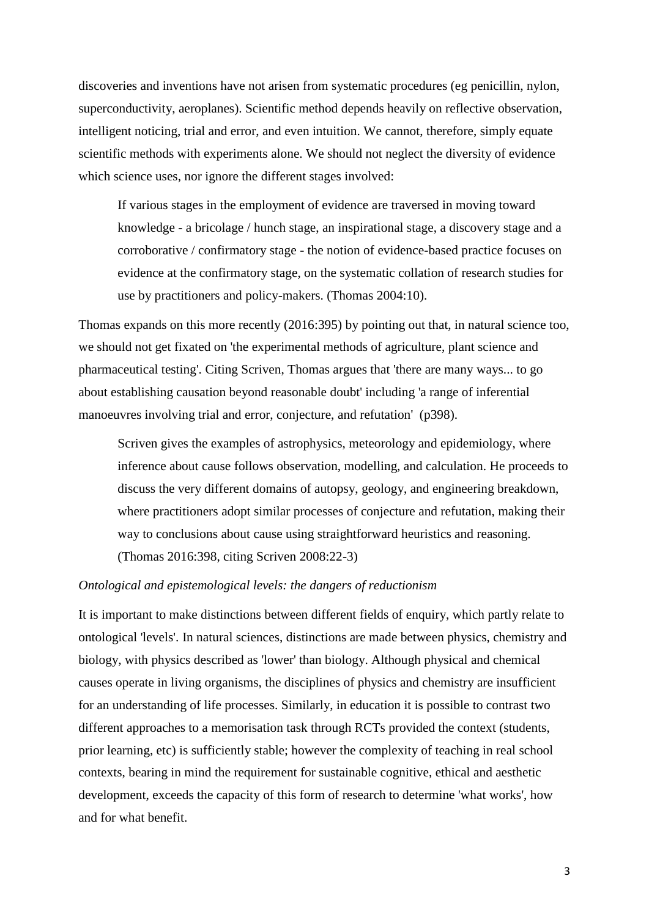discoveries and inventions have not arisen from systematic procedures (eg penicillin, nylon, superconductivity, aeroplanes). Scientific method depends heavily on reflective observation, intelligent noticing, trial and error, and even intuition. We cannot, therefore, simply equate scientific methods with experiments alone. We should not neglect the diversity of evidence which science uses, nor ignore the different stages involved:

If various stages in the employment of evidence are traversed in moving toward knowledge - a bricolage / hunch stage, an inspirational stage, a discovery stage and a corroborative / confirmatory stage - the notion of evidence-based practice focuses on evidence at the confirmatory stage, on the systematic collation of research studies for use by practitioners and policy-makers. (Thomas 2004:10).

Thomas expands on this more recently (2016:395) by pointing out that, in natural science too, we should not get fixated on 'the experimental methods of agriculture, plant science and pharmaceutical testing'. Citing Scriven, Thomas argues that 'there are many ways... to go about establishing causation beyond reasonable doubt' including 'a range of inferential manoeuvres involving trial and error, conjecture, and refutation' (p398).

Scriven gives the examples of astrophysics, meteorology and epidemiology, where inference about cause follows observation, modelling, and calculation. He proceeds to discuss the very different domains of autopsy, geology, and engineering breakdown, where practitioners adopt similar processes of conjecture and refutation, making their way to conclusions about cause using straightforward heuristics and reasoning. (Thomas 2016:398, citing Scriven 2008:22-3)

## *Ontological and epistemological levels: the dangers of reductionism*

It is important to make distinctions between different fields of enquiry, which partly relate to ontological 'levels'. In natural sciences, distinctions are made between physics, chemistry and biology, with physics described as 'lower' than biology. Although physical and chemical causes operate in living organisms, the disciplines of physics and chemistry are insufficient for an understanding of life processes. Similarly, in education it is possible to contrast two different approaches to a memorisation task through RCTs provided the context (students, prior learning, etc) is sufficiently stable; however the complexity of teaching in real school contexts, bearing in mind the requirement for sustainable cognitive, ethical and aesthetic development, exceeds the capacity of this form of research to determine 'what works', how and for what benefit.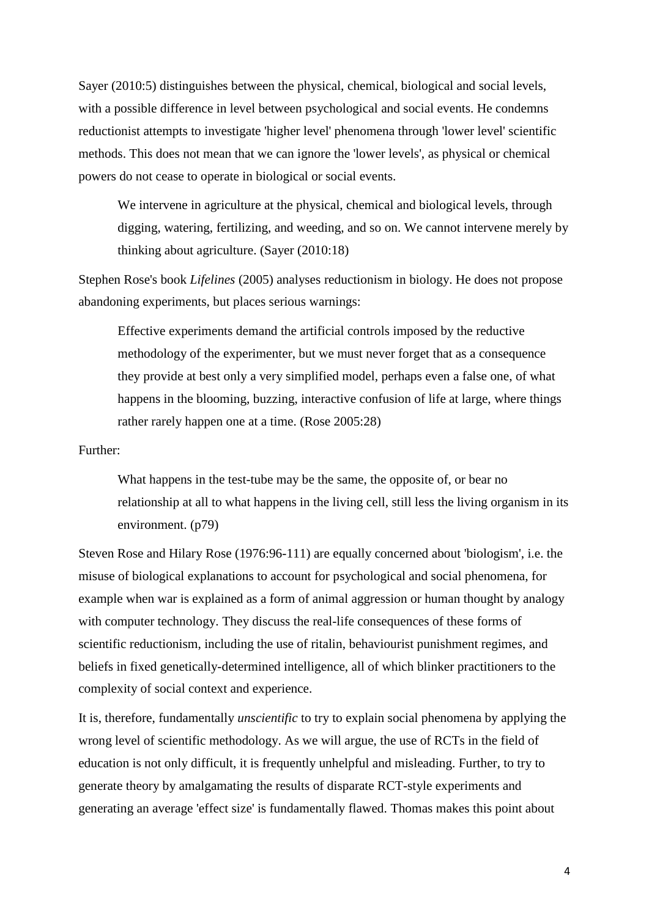Sayer (2010:5) distinguishes between the physical, chemical, biological and social levels, with a possible difference in level between psychological and social events. He condemns reductionist attempts to investigate 'higher level' phenomena through 'lower level' scientific methods. This does not mean that we can ignore the 'lower levels', as physical or chemical powers do not cease to operate in biological or social events.

We intervene in agriculture at the physical, chemical and biological levels, through digging, watering, fertilizing, and weeding, and so on. We cannot intervene merely by thinking about agriculture. (Sayer (2010:18)

Stephen Rose's book *Lifelines* (2005) analyses reductionism in biology. He does not propose abandoning experiments, but places serious warnings:

Effective experiments demand the artificial controls imposed by the reductive methodology of the experimenter, but we must never forget that as a consequence they provide at best only a very simplified model, perhaps even a false one, of what happens in the blooming, buzzing, interactive confusion of life at large, where things rather rarely happen one at a time. (Rose 2005:28)

## Further:

What happens in the test-tube may be the same, the opposite of, or bear no relationship at all to what happens in the living cell, still less the living organism in its environment. (p79)

Steven Rose and Hilary Rose (1976:96-111) are equally concerned about 'biologism', i.e. the misuse of biological explanations to account for psychological and social phenomena, for example when war is explained as a form of animal aggression or human thought by analogy with computer technology. They discuss the real-life consequences of these forms of scientific reductionism, including the use of ritalin, behaviourist punishment regimes, and beliefs in fixed genetically-determined intelligence, all of which blinker practitioners to the complexity of social context and experience.

It is, therefore, fundamentally *unscientific* to try to explain social phenomena by applying the wrong level of scientific methodology. As we will argue, the use of RCTs in the field of education is not only difficult, it is frequently unhelpful and misleading. Further, to try to generate theory by amalgamating the results of disparate RCT-style experiments and generating an average 'effect size' is fundamentally flawed. Thomas makes this point about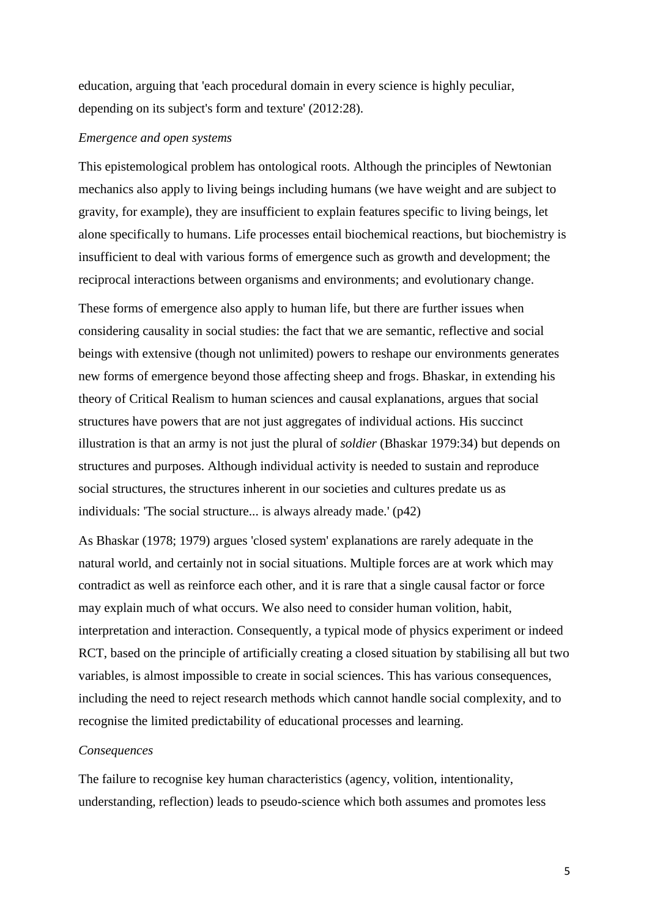education, arguing that 'each procedural domain in every science is highly peculiar, depending on its subject's form and texture' (2012:28).

## *Emergence and open systems*

This epistemological problem has ontological roots. Although the principles of Newtonian mechanics also apply to living beings including humans (we have weight and are subject to gravity, for example), they are insufficient to explain features specific to living beings, let alone specifically to humans. Life processes entail biochemical reactions, but biochemistry is insufficient to deal with various forms of emergence such as growth and development; the reciprocal interactions between organisms and environments; and evolutionary change.

These forms of emergence also apply to human life, but there are further issues when considering causality in social studies: the fact that we are semantic, reflective and social beings with extensive (though not unlimited) powers to reshape our environments generates new forms of emergence beyond those affecting sheep and frogs. Bhaskar, in extending his theory of Critical Realism to human sciences and causal explanations, argues that social structures have powers that are not just aggregates of individual actions. His succinct illustration is that an army is not just the plural of *soldier* (Bhaskar 1979:34) but depends on structures and purposes. Although individual activity is needed to sustain and reproduce social structures, the structures inherent in our societies and cultures predate us as individuals: 'The social structure... is always already made.' (p42)

As Bhaskar (1978; 1979) argues 'closed system' explanations are rarely adequate in the natural world, and certainly not in social situations. Multiple forces are at work which may contradict as well as reinforce each other, and it is rare that a single causal factor or force may explain much of what occurs. We also need to consider human volition, habit, interpretation and interaction. Consequently, a typical mode of physics experiment or indeed RCT, based on the principle of artificially creating a closed situation by stabilising all but two variables, is almost impossible to create in social sciences. This has various consequences, including the need to reject research methods which cannot handle social complexity, and to recognise the limited predictability of educational processes and learning.

#### *Consequences*

The failure to recognise key human characteristics (agency, volition, intentionality, understanding, reflection) leads to pseudo-science which both assumes and promotes less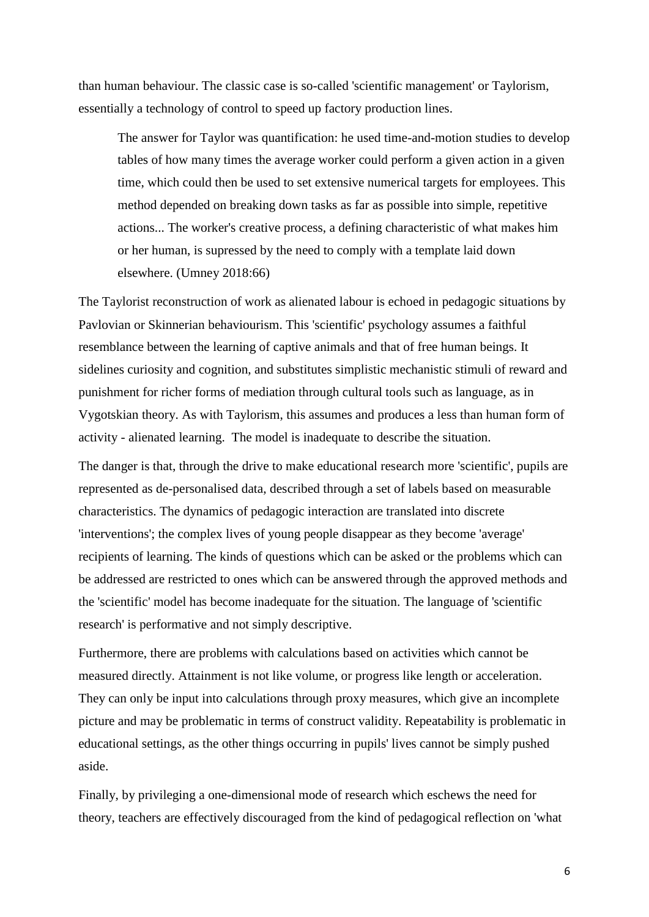than human behaviour. The classic case is so-called 'scientific management' or Taylorism, essentially a technology of control to speed up factory production lines.

The answer for Taylor was quantification: he used time-and-motion studies to develop tables of how many times the average worker could perform a given action in a given time, which could then be used to set extensive numerical targets for employees. This method depended on breaking down tasks as far as possible into simple, repetitive actions... The worker's creative process, a defining characteristic of what makes him or her human, is supressed by the need to comply with a template laid down elsewhere. (Umney 2018:66)

The Taylorist reconstruction of work as alienated labour is echoed in pedagogic situations by Pavlovian or Skinnerian behaviourism. This 'scientific' psychology assumes a faithful resemblance between the learning of captive animals and that of free human beings. It sidelines curiosity and cognition, and substitutes simplistic mechanistic stimuli of reward and punishment for richer forms of mediation through cultural tools such as language, as in Vygotskian theory. As with Taylorism, this assumes and produces a less than human form of activity - alienated learning. The model is inadequate to describe the situation.

The danger is that, through the drive to make educational research more 'scientific', pupils are represented as de-personalised data, described through a set of labels based on measurable characteristics. The dynamics of pedagogic interaction are translated into discrete 'interventions'; the complex lives of young people disappear as they become 'average' recipients of learning. The kinds of questions which can be asked or the problems which can be addressed are restricted to ones which can be answered through the approved methods and the 'scientific' model has become inadequate for the situation. The language of 'scientific research' is performative and not simply descriptive.

Furthermore, there are problems with calculations based on activities which cannot be measured directly. Attainment is not like volume, or progress like length or acceleration. They can only be input into calculations through proxy measures, which give an incomplete picture and may be problematic in terms of construct validity. Repeatability is problematic in educational settings, as the other things occurring in pupils' lives cannot be simply pushed aside.

Finally, by privileging a one-dimensional mode of research which eschews the need for theory, teachers are effectively discouraged from the kind of pedagogical reflection on 'what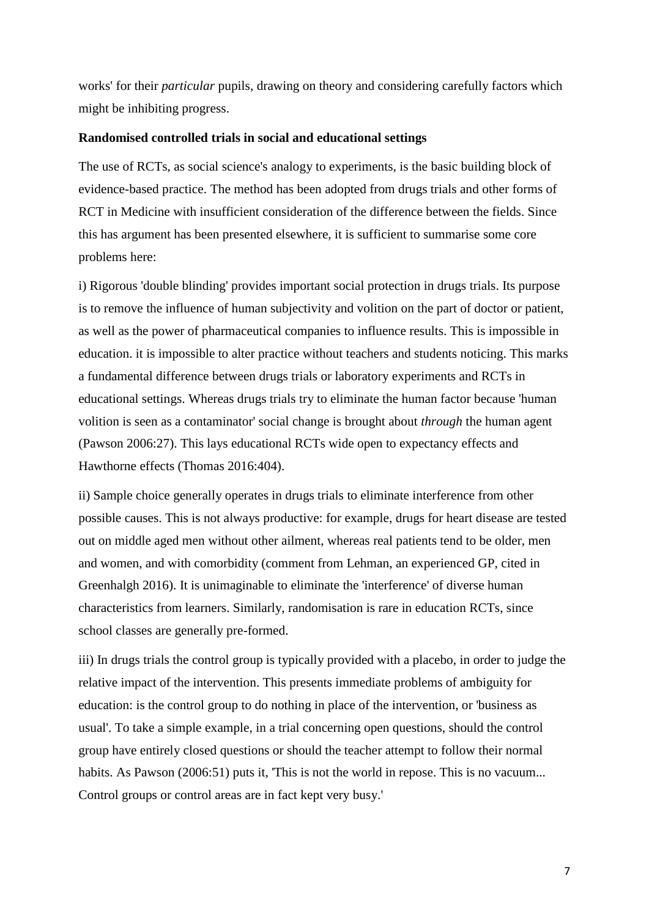works' for their *particular* pupils, drawing on theory and considering carefully factors which might be inhibiting progress.

#### **Randomised controlled trials in social and educational settings**

The use of RCTs, as social science's analogy to experiments, is the basic building block of evidence-based practice. The method has been adopted from drugs trials and other forms of RCT in Medicine with insufficient consideration of the difference between the fields. Since this has argument has been presented elsewhere, it is sufficient to summarise some core problems here:

i) Rigorous 'double blinding' provides important social protection in drugs trials. Its purpose is to remove the influence of human subjectivity and volition on the part of doctor or patient, as well as the power of pharmaceutical companies to influence results. This is impossible in education. it is impossible to alter practice without teachers and students noticing. This marks a fundamental difference between drugs trials or laboratory experiments and RCTs in educational settings. Whereas drugs trials try to eliminate the human factor because 'human volition is seen as a contaminator' social change is brought about *through* the human agent (Pawson 2006:27). This lays educational RCTs wide open to expectancy effects and Hawthorne effects (Thomas 2016:404).

ii) Sample choice generally operates in drugs trials to eliminate interference from other possible causes. This is not always productive: for example, drugs for heart disease are tested out on middle aged men without other ailment, whereas real patients tend to be older, men and women, and with comorbidity (comment from Lehman, an experienced GP, cited in Greenhalgh 2016). It is unimaginable to eliminate the 'interference' of diverse human characteristics from learners. Similarly, randomisation is rare in education RCTs, since school classes are generally pre-formed.

iii) In drugs trials the control group is typically provided with a placebo, in order to judge the relative impact of the intervention. This presents immediate problems of ambiguity for education: is the control group to do nothing in place of the intervention, or 'business as usual'. To take a simple example, in a trial concerning open questions, should the control group have entirely closed questions or should the teacher attempt to follow their normal habits. As Pawson (2006:51) puts it, 'This is not the world in repose. This is no vacuum... Control groups or control areas are in fact kept very busy.'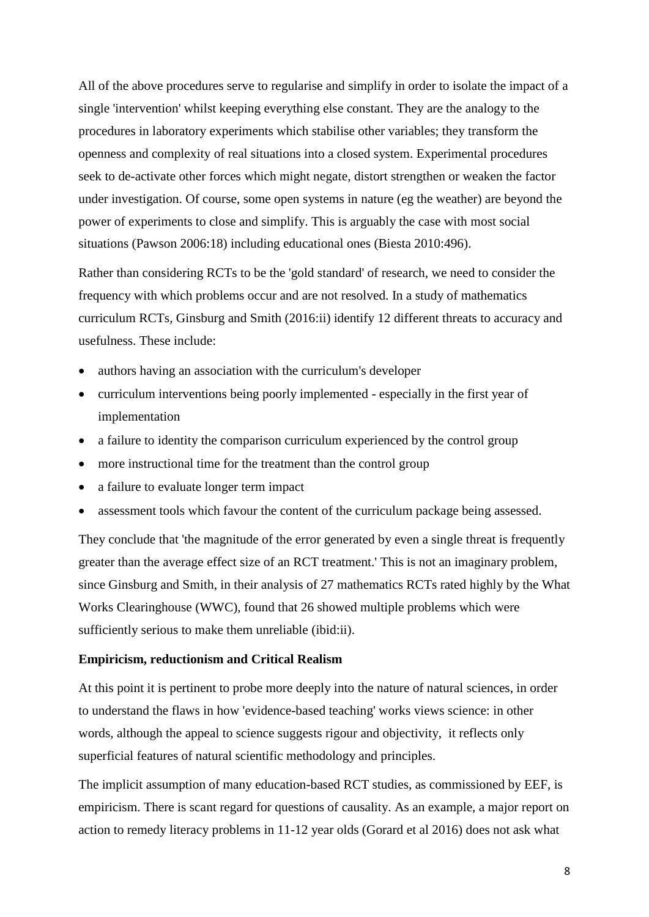All of the above procedures serve to regularise and simplify in order to isolate the impact of a single 'intervention' whilst keeping everything else constant. They are the analogy to the procedures in laboratory experiments which stabilise other variables; they transform the openness and complexity of real situations into a closed system. Experimental procedures seek to de-activate other forces which might negate, distort strengthen or weaken the factor under investigation. Of course, some open systems in nature (eg the weather) are beyond the power of experiments to close and simplify. This is arguably the case with most social situations (Pawson 2006:18) including educational ones (Biesta 2010:496).

Rather than considering RCTs to be the 'gold standard' of research, we need to consider the frequency with which problems occur and are not resolved. In a study of mathematics curriculum RCTs, Ginsburg and Smith (2016:ii) identify 12 different threats to accuracy and usefulness. These include:

- authors having an association with the curriculum's developer
- curriculum interventions being poorly implemented especially in the first year of implementation
- a failure to identity the comparison curriculum experienced by the control group
- more instructional time for the treatment than the control group
- a failure to evaluate longer term impact
- assessment tools which favour the content of the curriculum package being assessed.

They conclude that 'the magnitude of the error generated by even a single threat is frequently greater than the average effect size of an RCT treatment.' This is not an imaginary problem, since Ginsburg and Smith, in their analysis of 27 mathematics RCTs rated highly by the What Works Clearinghouse (WWC), found that 26 showed multiple problems which were sufficiently serious to make them unreliable (ibid:ii).

#### **Empiricism, reductionism and Critical Realism**

At this point it is pertinent to probe more deeply into the nature of natural sciences, in order to understand the flaws in how 'evidence-based teaching' works views science: in other words, although the appeal to science suggests rigour and objectivity, it reflects only superficial features of natural scientific methodology and principles.

The implicit assumption of many education-based RCT studies, as commissioned by EEF, is empiricism. There is scant regard for questions of causality. As an example, a major report on action to remedy literacy problems in 11-12 year olds (Gorard et al 2016) does not ask what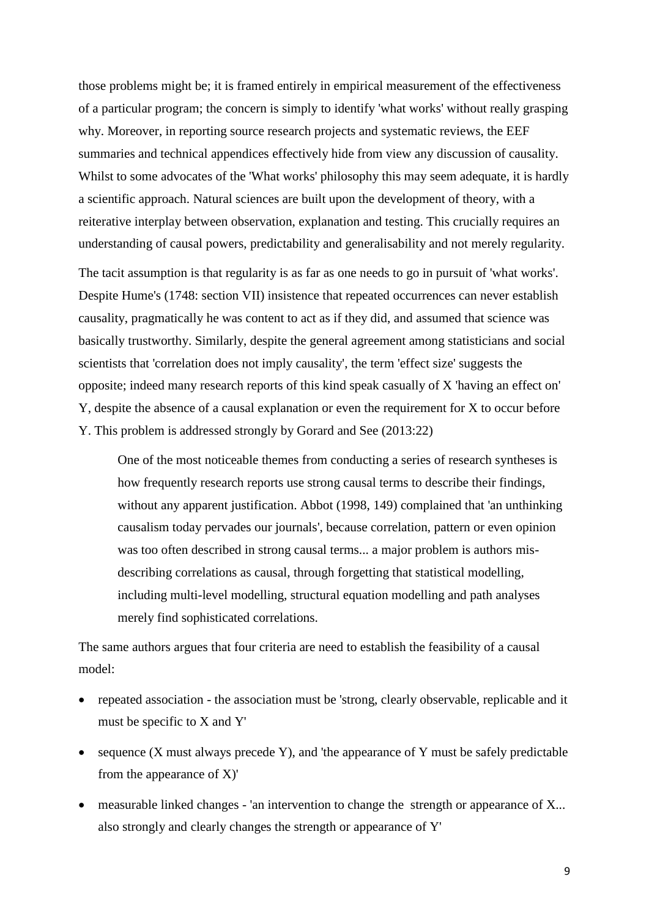those problems might be; it is framed entirely in empirical measurement of the effectiveness of a particular program; the concern is simply to identify 'what works' without really grasping why. Moreover, in reporting source research projects and systematic reviews, the EEF summaries and technical appendices effectively hide from view any discussion of causality. Whilst to some advocates of the 'What works' philosophy this may seem adequate, it is hardly a scientific approach. Natural sciences are built upon the development of theory, with a reiterative interplay between observation, explanation and testing. This crucially requires an understanding of causal powers, predictability and generalisability and not merely regularity.

The tacit assumption is that regularity is as far as one needs to go in pursuit of 'what works'. Despite Hume's (1748: section VII) insistence that repeated occurrences can never establish causality, pragmatically he was content to act as if they did, and assumed that science was basically trustworthy. Similarly, despite the general agreement among statisticians and social scientists that 'correlation does not imply causality', the term 'effect size' suggests the opposite; indeed many research reports of this kind speak casually of X 'having an effect on' Y, despite the absence of a causal explanation or even the requirement for X to occur before Y. This problem is addressed strongly by Gorard and See (2013:22)

One of the most noticeable themes from conducting a series of research syntheses is how frequently research reports use strong causal terms to describe their findings, without any apparent justification. Abbot (1998, 149) complained that 'an unthinking causalism today pervades our journals', because correlation, pattern or even opinion was too often described in strong causal terms... a major problem is authors misdescribing correlations as causal, through forgetting that statistical modelling, including multi-level modelling, structural equation modelling and path analyses merely find sophisticated correlations.

The same authors argues that four criteria are need to establish the feasibility of a causal model:

- repeated association the association must be 'strong, clearly observable, replicable and it must be specific to X and Y'
- $\bullet$  sequence (X must always precede Y), and 'the appearance of Y must be safely predictable from the appearance of X)'
- measurable linked changes 'an intervention to change the strength or appearance of X... also strongly and clearly changes the strength or appearance of Y'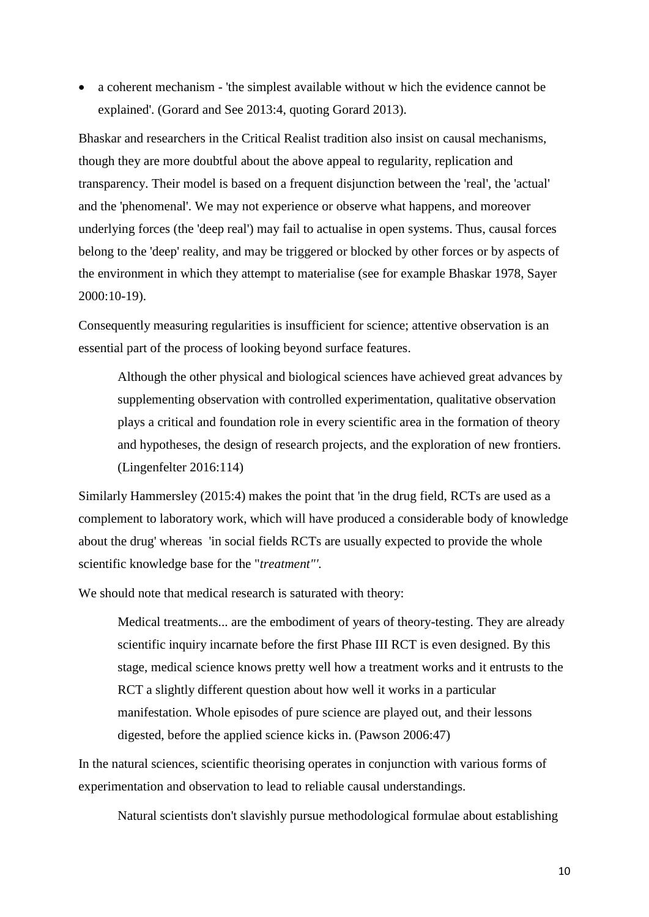a coherent mechanism - 'the simplest available without w hich the evidence cannot be explained'. (Gorard and See 2013:4, quoting Gorard 2013).

Bhaskar and researchers in the Critical Realist tradition also insist on causal mechanisms, though they are more doubtful about the above appeal to regularity, replication and transparency. Their model is based on a frequent disjunction between the 'real', the 'actual' and the 'phenomenal'. We may not experience or observe what happens, and moreover underlying forces (the 'deep real') may fail to actualise in open systems. Thus, causal forces belong to the 'deep' reality, and may be triggered or blocked by other forces or by aspects of the environment in which they attempt to materialise (see for example Bhaskar 1978, Sayer 2000:10-19).

Consequently measuring regularities is insufficient for science; attentive observation is an essential part of the process of looking beyond surface features.

Although the other physical and biological sciences have achieved great advances by supplementing observation with controlled experimentation, qualitative observation plays a critical and foundation role in every scientific area in the formation of theory and hypotheses, the design of research projects, and the exploration of new frontiers. (Lingenfelter 2016:114)

Similarly Hammersley (2015:4) makes the point that 'in the drug field, RCTs are used as a complement to laboratory work, which will have produced a considerable body of knowledge about the drug' whereas 'in social fields RCTs are usually expected to provide the whole scientific knowledge base for the "*treatment"'.* 

We should note that medical research is saturated with theory:

Medical treatments... are the embodiment of years of theory-testing. They are already scientific inquiry incarnate before the first Phase III RCT is even designed. By this stage, medical science knows pretty well how a treatment works and it entrusts to the RCT a slightly different question about how well it works in a particular manifestation. Whole episodes of pure science are played out, and their lessons digested, before the applied science kicks in. (Pawson 2006:47)

In the natural sciences, scientific theorising operates in conjunction with various forms of experimentation and observation to lead to reliable causal understandings.

Natural scientists don't slavishly pursue methodological formulae about establishing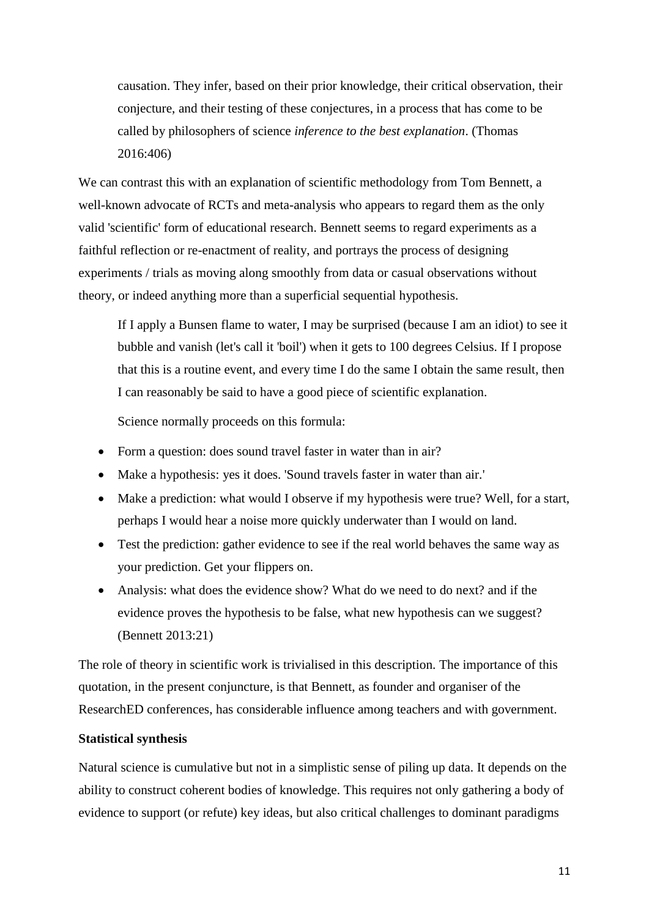causation. They infer, based on their prior knowledge, their critical observation, their conjecture, and their testing of these conjectures, in a process that has come to be called by philosophers of science *inference to the best explanation*. (Thomas 2016:406)

We can contrast this with an explanation of scientific methodology from Tom Bennett, a well-known advocate of RCTs and meta-analysis who appears to regard them as the only valid 'scientific' form of educational research. Bennett seems to regard experiments as a faithful reflection or re-enactment of reality, and portrays the process of designing experiments / trials as moving along smoothly from data or casual observations without theory, or indeed anything more than a superficial sequential hypothesis.

If I apply a Bunsen flame to water, I may be surprised (because I am an idiot) to see it bubble and vanish (let's call it 'boil') when it gets to 100 degrees Celsius. If I propose that this is a routine event, and every time I do the same I obtain the same result, then I can reasonably be said to have a good piece of scientific explanation.

Science normally proceeds on this formula:

- Form a question: does sound travel faster in water than in air?
- Make a hypothesis: yes it does. 'Sound travels faster in water than air.'
- Make a prediction: what would I observe if my hypothesis were true? Well, for a start, perhaps I would hear a noise more quickly underwater than I would on land.
- Test the prediction: gather evidence to see if the real world behaves the same way as your prediction. Get your flippers on.
- Analysis: what does the evidence show? What do we need to do next? and if the evidence proves the hypothesis to be false, what new hypothesis can we suggest? (Bennett 2013:21)

The role of theory in scientific work is trivialised in this description. The importance of this quotation, in the present conjuncture, is that Bennett, as founder and organiser of the ResearchED conferences, has considerable influence among teachers and with government.

## **Statistical synthesis**

Natural science is cumulative but not in a simplistic sense of piling up data. It depends on the ability to construct coherent bodies of knowledge. This requires not only gathering a body of evidence to support (or refute) key ideas, but also critical challenges to dominant paradigms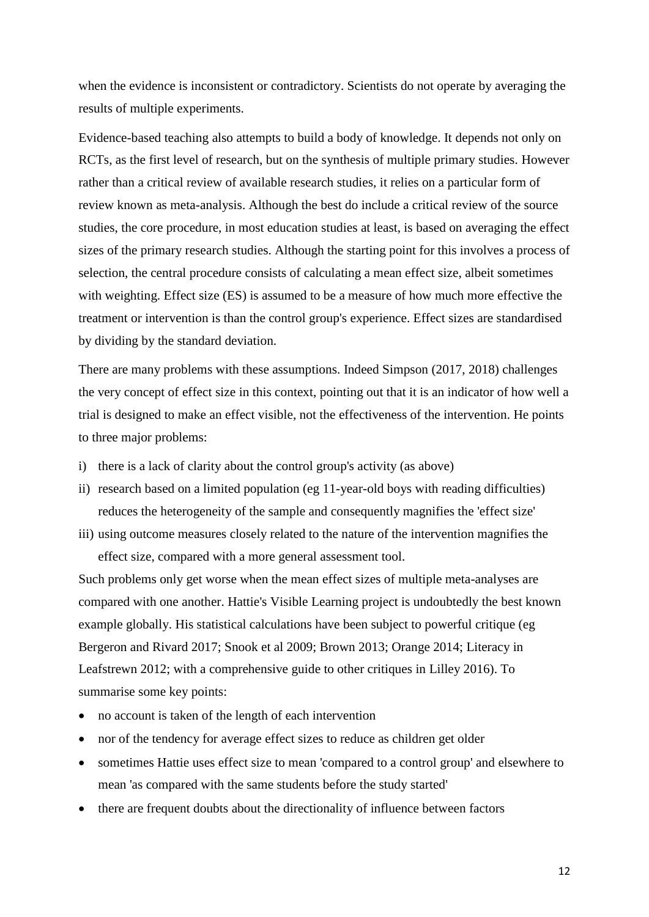when the evidence is inconsistent or contradictory. Scientists do not operate by averaging the results of multiple experiments.

Evidence-based teaching also attempts to build a body of knowledge. It depends not only on RCTs, as the first level of research, but on the synthesis of multiple primary studies. However rather than a critical review of available research studies, it relies on a particular form of review known as meta-analysis. Although the best do include a critical review of the source studies, the core procedure, in most education studies at least, is based on averaging the effect sizes of the primary research studies. Although the starting point for this involves a process of selection, the central procedure consists of calculating a mean effect size, albeit sometimes with weighting. Effect size (ES) is assumed to be a measure of how much more effective the treatment or intervention is than the control group's experience. Effect sizes are standardised by dividing by the standard deviation.

There are many problems with these assumptions. Indeed Simpson (2017, 2018) challenges the very concept of effect size in this context, pointing out that it is an indicator of how well a trial is designed to make an effect visible, not the effectiveness of the intervention. He points to three major problems:

- i) there is a lack of clarity about the control group's activity (as above)
- ii) research based on a limited population (eg 11-year-old boys with reading difficulties) reduces the heterogeneity of the sample and consequently magnifies the 'effect size'
- iii) using outcome measures closely related to the nature of the intervention magnifies the effect size, compared with a more general assessment tool.

Such problems only get worse when the mean effect sizes of multiple meta-analyses are compared with one another. Hattie's Visible Learning project is undoubtedly the best known example globally. His statistical calculations have been subject to powerful critique (eg Bergeron and Rivard 2017; Snook et al 2009; Brown 2013; Orange 2014; Literacy in Leafstrewn 2012; with a comprehensive guide to other critiques in Lilley 2016). To summarise some key points:

- no account is taken of the length of each intervention
- nor of the tendency for average effect sizes to reduce as children get older
- sometimes Hattie uses effect size to mean 'compared to a control group' and elsewhere to mean 'as compared with the same students before the study started'
- there are frequent doubts about the directionality of influence between factors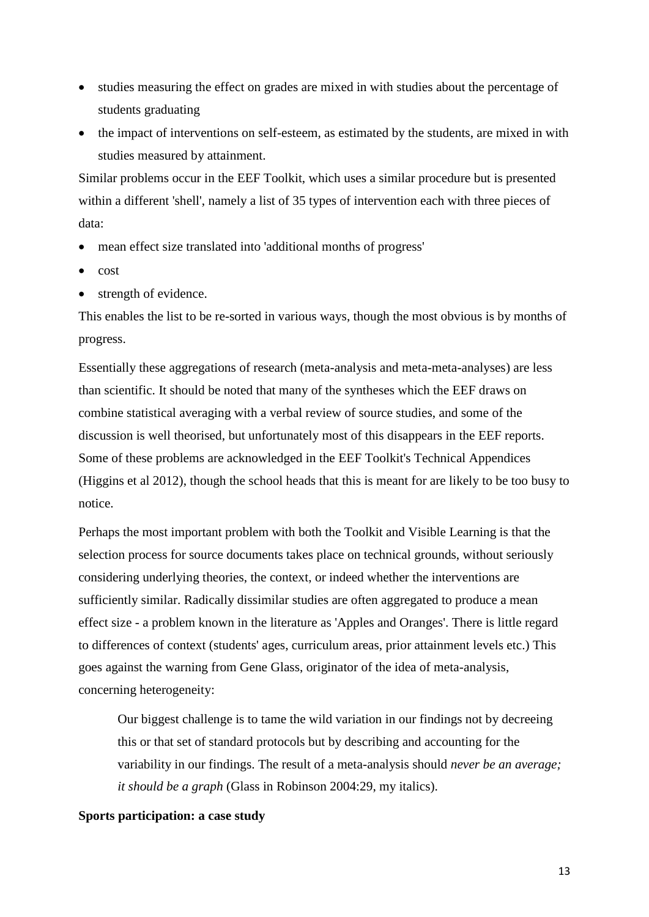- studies measuring the effect on grades are mixed in with studies about the percentage of students graduating
- the impact of interventions on self-esteem, as estimated by the students, are mixed in with studies measured by attainment.

Similar problems occur in the EEF Toolkit, which uses a similar procedure but is presented within a different 'shell', namely a list of 35 types of intervention each with three pieces of data:

- mean effect size translated into 'additional months of progress'
- $\bullet$  cost
- strength of evidence.

This enables the list to be re-sorted in various ways, though the most obvious is by months of progress.

Essentially these aggregations of research (meta-analysis and meta-meta-analyses) are less than scientific. It should be noted that many of the syntheses which the EEF draws on combine statistical averaging with a verbal review of source studies, and some of the discussion is well theorised, but unfortunately most of this disappears in the EEF reports. Some of these problems are acknowledged in the EEF Toolkit's Technical Appendices (Higgins et al 2012), though the school heads that this is meant for are likely to be too busy to notice.

Perhaps the most important problem with both the Toolkit and Visible Learning is that the selection process for source documents takes place on technical grounds, without seriously considering underlying theories, the context, or indeed whether the interventions are sufficiently similar. Radically dissimilar studies are often aggregated to produce a mean effect size - a problem known in the literature as 'Apples and Oranges'. There is little regard to differences of context (students' ages, curriculum areas, prior attainment levels etc.) This goes against the warning from Gene Glass, originator of the idea of meta-analysis, concerning heterogeneity:

Our biggest challenge is to tame the wild variation in our findings not by decreeing this or that set of standard protocols but by describing and accounting for the variability in our findings. The result of a meta-analysis should *never be an average; it should be a graph* (Glass in Robinson 2004:29, my italics).

## **Sports participation: a case study**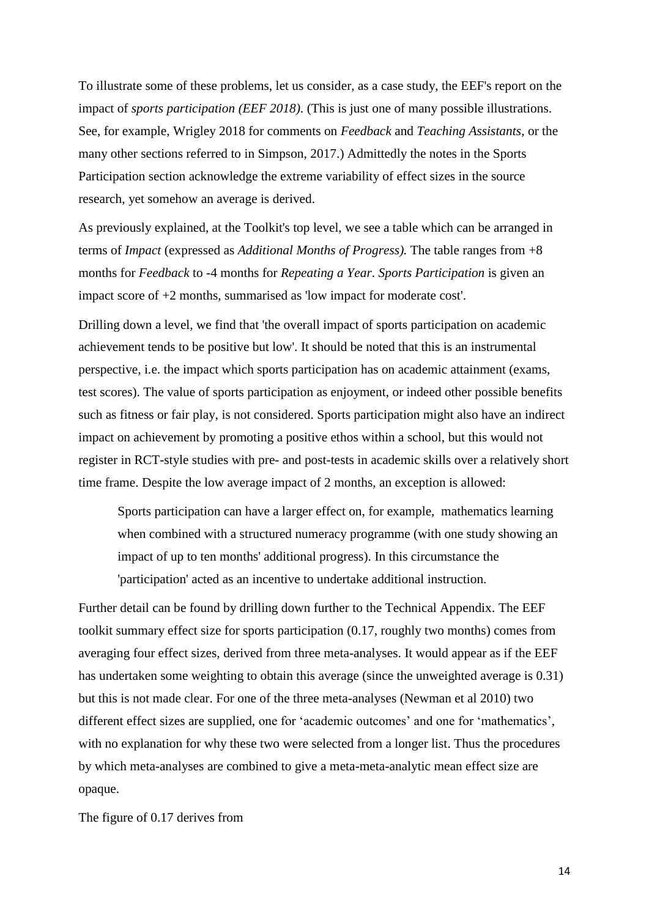To illustrate some of these problems, let us consider, as a case study, the EEF's report on the impact of *sports participation (EEF 2018)*. (This is just one of many possible illustrations. See, for example, Wrigley 2018 for comments on *Feedback* and *Teaching Assistants*, or the many other sections referred to in Simpson, 2017.) Admittedly the notes in the Sports Participation section acknowledge the extreme variability of effect sizes in the source research, yet somehow an average is derived.

As previously explained, at the Toolkit's top level, we see a table which can be arranged in terms of *Impact* (expressed as *Additional Months of Progress).* The table ranges from +8 months for *Feedback* to -4 months for *Repeating a Year*. *Sports Participation* is given an impact score of +2 months, summarised as 'low impact for moderate cost'.

Drilling down a level, we find that 'the overall impact of sports participation on academic achievement tends to be positive but low'. It should be noted that this is an instrumental perspective, i.e. the impact which sports participation has on academic attainment (exams, test scores). The value of sports participation as enjoyment, or indeed other possible benefits such as fitness or fair play, is not considered. Sports participation might also have an indirect impact on achievement by promoting a positive ethos within a school, but this would not register in RCT-style studies with pre- and post-tests in academic skills over a relatively short time frame. Despite the low average impact of 2 months, an exception is allowed:

Sports participation can have a larger effect on, for example, mathematics learning when combined with a structured numeracy programme (with one study showing an impact of up to ten months' additional progress). In this circumstance the 'participation' acted as an incentive to undertake additional instruction.

Further detail can be found by drilling down further to the Technical Appendix. The EEF toolkit summary effect size for sports participation (0.17, roughly two months) comes from averaging four effect sizes, derived from three meta-analyses. It would appear as if the EEF has undertaken some weighting to obtain this average (since the unweighted average is 0.31) but this is not made clear. For one of the three meta-analyses (Newman et al 2010) two different effect sizes are supplied, one for 'academic outcomes' and one for 'mathematics', with no explanation for why these two were selected from a longer list. Thus the procedures by which meta-analyses are combined to give a meta-meta-analytic mean effect size are opaque.

The figure of 0.17 derives from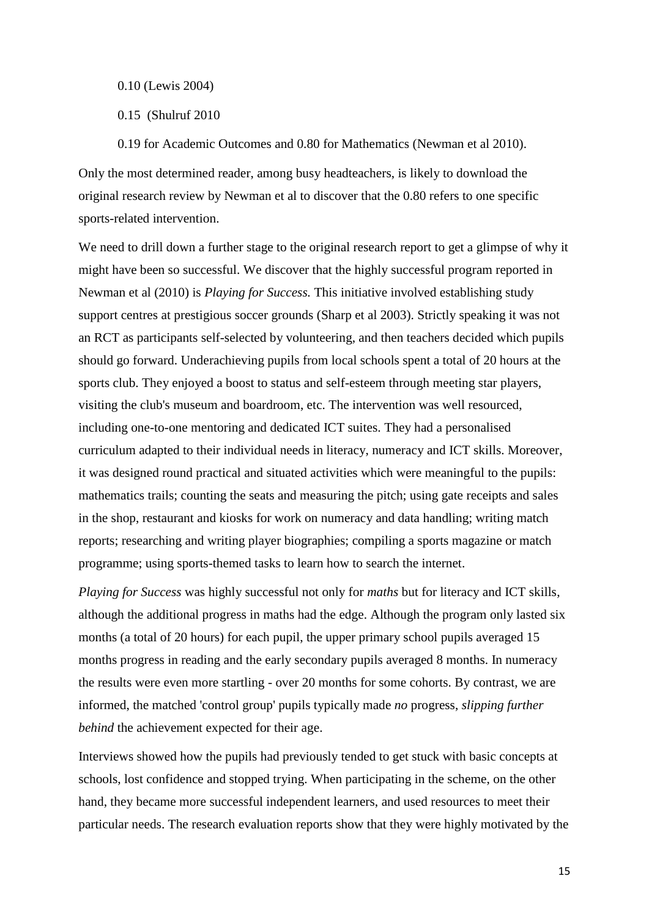0.10 (Lewis 2004)

0.15 (Shulruf 2010

0.19 for Academic Outcomes and 0.80 for Mathematics (Newman et al 2010).

Only the most determined reader, among busy headteachers, is likely to download the original research review by Newman et al to discover that the 0.80 refers to one specific sports-related intervention.

We need to drill down a further stage to the original research report to get a glimpse of why it might have been so successful. We discover that the highly successful program reported in Newman et al (2010) is *Playing for Success.* This initiative involved establishing study support centres at prestigious soccer grounds (Sharp et al 2003). Strictly speaking it was not an RCT as participants self-selected by volunteering, and then teachers decided which pupils should go forward. Underachieving pupils from local schools spent a total of 20 hours at the sports club. They enjoyed a boost to status and self-esteem through meeting star players, visiting the club's museum and boardroom, etc. The intervention was well resourced, including one-to-one mentoring and dedicated ICT suites. They had a personalised curriculum adapted to their individual needs in literacy, numeracy and ICT skills. Moreover, it was designed round practical and situated activities which were meaningful to the pupils: mathematics trails; counting the seats and measuring the pitch; using gate receipts and sales in the shop, restaurant and kiosks for work on numeracy and data handling; writing match reports; researching and writing player biographies; compiling a sports magazine or match programme; using sports-themed tasks to learn how to search the internet.

*Playing for Success* was highly successful not only for *maths* but for literacy and ICT skills, although the additional progress in maths had the edge. Although the program only lasted six months (a total of 20 hours) for each pupil, the upper primary school pupils averaged 15 months progress in reading and the early secondary pupils averaged 8 months. In numeracy the results were even more startling - over 20 months for some cohorts. By contrast, we are informed, the matched 'control group' pupils typically made *no* progress, *slipping further behind* the achievement expected for their age.

Interviews showed how the pupils had previously tended to get stuck with basic concepts at schools, lost confidence and stopped trying. When participating in the scheme, on the other hand, they became more successful independent learners, and used resources to meet their particular needs. The research evaluation reports show that they were highly motivated by the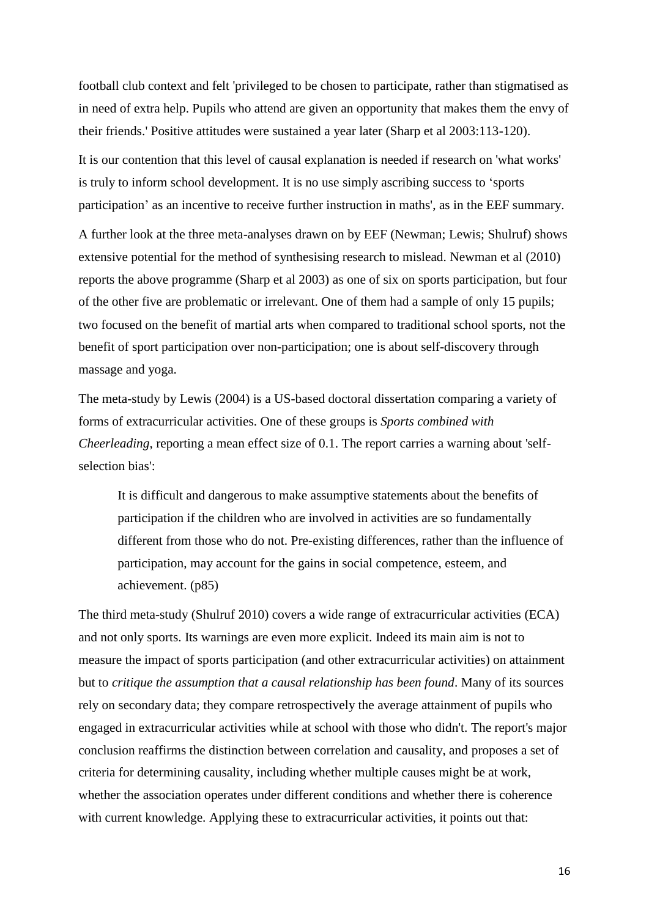football club context and felt 'privileged to be chosen to participate, rather than stigmatised as in need of extra help. Pupils who attend are given an opportunity that makes them the envy of their friends.' Positive attitudes were sustained a year later (Sharp et al 2003:113-120).

It is our contention that this level of causal explanation is needed if research on 'what works' is truly to inform school development. It is no use simply ascribing success to 'sports participation' as an incentive to receive further instruction in maths', as in the EEF summary.

A further look at the three meta-analyses drawn on by EEF (Newman; Lewis; Shulruf) shows extensive potential for the method of synthesising research to mislead. Newman et al (2010) reports the above programme (Sharp et al 2003) as one of six on sports participation, but four of the other five are problematic or irrelevant. One of them had a sample of only 15 pupils; two focused on the benefit of martial arts when compared to traditional school sports, not the benefit of sport participation over non-participation; one is about self-discovery through massage and yoga.

The meta-study by Lewis (2004) is a US-based doctoral dissertation comparing a variety of forms of extracurricular activities. One of these groups is *Sports combined with Cheerleading*, reporting a mean effect size of 0.1. The report carries a warning about 'selfselection bias':

It is difficult and dangerous to make assumptive statements about the benefits of participation if the children who are involved in activities are so fundamentally different from those who do not. Pre-existing differences, rather than the influence of participation, may account for the gains in social competence, esteem, and achievement. (p85)

The third meta-study (Shulruf 2010) covers a wide range of extracurricular activities (ECA) and not only sports. Its warnings are even more explicit. Indeed its main aim is not to measure the impact of sports participation (and other extracurricular activities) on attainment but to *critique the assumption that a causal relationship has been found*. Many of its sources rely on secondary data; they compare retrospectively the average attainment of pupils who engaged in extracurricular activities while at school with those who didn't. The report's major conclusion reaffirms the distinction between correlation and causality, and proposes a set of criteria for determining causality, including whether multiple causes might be at work, whether the association operates under different conditions and whether there is coherence with current knowledge. Applying these to extracurricular activities, it points out that: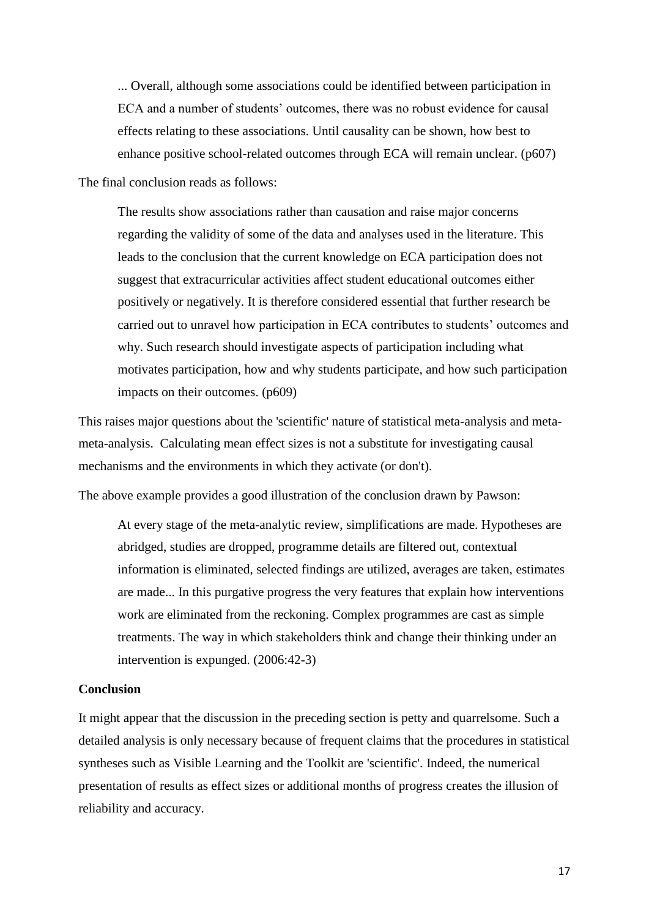... Overall, although some associations could be identified between participation in ECA and a number of students' outcomes, there was no robust evidence for causal effects relating to these associations. Until causality can be shown, how best to enhance positive school-related outcomes through ECA will remain unclear. (p607)

The final conclusion reads as follows:

The results show associations rather than causation and raise major concerns regarding the validity of some of the data and analyses used in the literature. This leads to the conclusion that the current knowledge on ECA participation does not suggest that extracurricular activities affect student educational outcomes either positively or negatively. It is therefore considered essential that further research be carried out to unravel how participation in ECA contributes to students' outcomes and why. Such research should investigate aspects of participation including what motivates participation, how and why students participate, and how such participation impacts on their outcomes. (p609)

This raises major questions about the 'scientific' nature of statistical meta-analysis and metameta-analysis. Calculating mean effect sizes is not a substitute for investigating causal mechanisms and the environments in which they activate (or don't).

The above example provides a good illustration of the conclusion drawn by Pawson:

At every stage of the meta-analytic review, simplifications are made. Hypotheses are abridged, studies are dropped, programme details are filtered out, contextual information is eliminated, selected findings are utilized, averages are taken, estimates are made... In this purgative progress the very features that explain how interventions work are eliminated from the reckoning. Complex programmes are cast as simple treatments. The way in which stakeholders think and change their thinking under an intervention is expunged. (2006:42-3)

## **Conclusion**

It might appear that the discussion in the preceding section is petty and quarrelsome. Such a detailed analysis is only necessary because of frequent claims that the procedures in statistical syntheses such as Visible Learning and the Toolkit are 'scientific'. Indeed, the numerical presentation of results as effect sizes or additional months of progress creates the illusion of reliability and accuracy.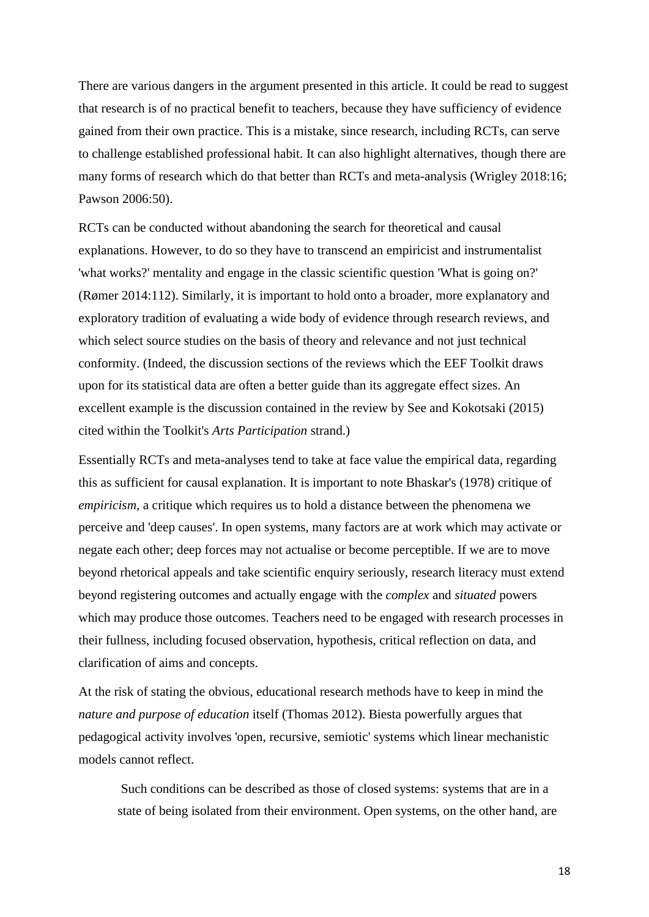There are various dangers in the argument presented in this article. It could be read to suggest that research is of no practical benefit to teachers, because they have sufficiency of evidence gained from their own practice. This is a mistake, since research, including RCTs, can serve to challenge established professional habit. It can also highlight alternatives, though there are many forms of research which do that better than RCTs and meta-analysis (Wrigley 2018:16; Pawson 2006:50).

RCTs can be conducted without abandoning the search for theoretical and causal explanations. However, to do so they have to transcend an empiricist and instrumentalist 'what works?' mentality and engage in the classic scientific question 'What is going on?' (Rømer 2014:112). Similarly, it is important to hold onto a broader, more explanatory and exploratory tradition of evaluating a wide body of evidence through research reviews, and which select source studies on the basis of theory and relevance and not just technical conformity. (Indeed, the discussion sections of the reviews which the EEF Toolkit draws upon for its statistical data are often a better guide than its aggregate effect sizes. An excellent example is the discussion contained in the review by See and Kokotsaki (2015) cited within the Toolkit's *Arts Participation* strand.)

Essentially RCTs and meta-analyses tend to take at face value the empirical data, regarding this as sufficient for causal explanation. It is important to note Bhaskar's (1978) critique of *empiricism*, a critique which requires us to hold a distance between the phenomena we perceive and 'deep causes'. In open systems, many factors are at work which may activate or negate each other; deep forces may not actualise or become perceptible. If we are to move beyond rhetorical appeals and take scientific enquiry seriously, research literacy must extend beyond registering outcomes and actually engage with the *complex* and *situated* powers which may produce those outcomes. Teachers need to be engaged with research processes in their fullness, including focused observation, hypothesis, critical reflection on data, and clarification of aims and concepts.

At the risk of stating the obvious, educational research methods have to keep in mind the *nature and purpose of education* itself (Thomas 2012). Biesta powerfully argues that pedagogical activity involves 'open, recursive, semiotic' systems which linear mechanistic models cannot reflect.

Such conditions can be described as those of closed systems: systems that are in a state of being isolated from their environment. Open systems, on the other hand, are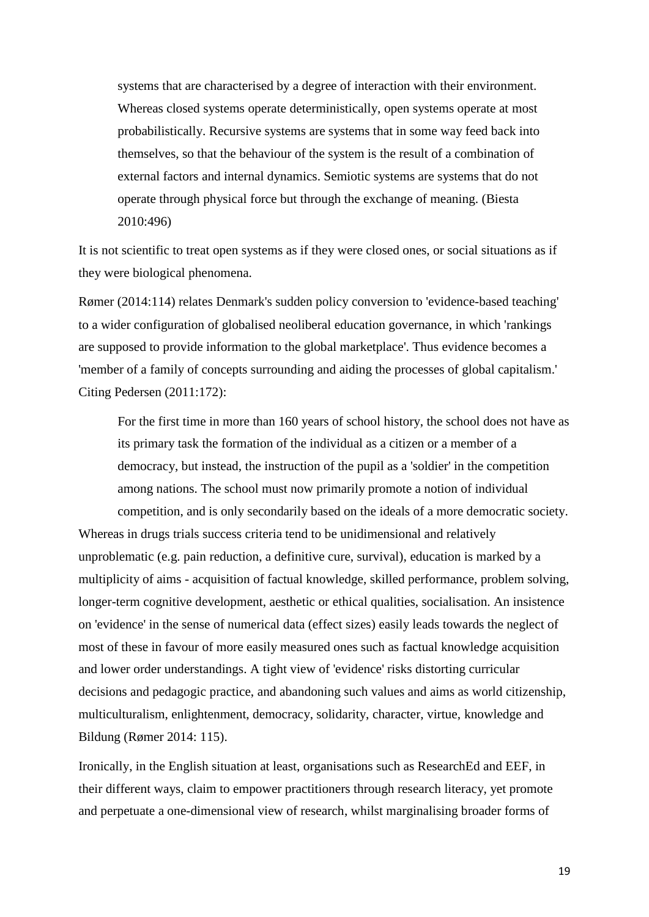systems that are characterised by a degree of interaction with their environment. Whereas closed systems operate deterministically, open systems operate at most probabilistically. Recursive systems are systems that in some way feed back into themselves, so that the behaviour of the system is the result of a combination of external factors and internal dynamics. Semiotic systems are systems that do not operate through physical force but through the exchange of meaning. (Biesta 2010:496)

It is not scientific to treat open systems as if they were closed ones, or social situations as if they were biological phenomena.

Rømer (2014:114) relates Denmark's sudden policy conversion to 'evidence-based teaching' to a wider configuration of globalised neoliberal education governance, in which 'rankings are supposed to provide information to the global marketplace'. Thus evidence becomes a 'member of a family of concepts surrounding and aiding the processes of global capitalism.' Citing Pedersen (2011:172):

For the first time in more than 160 years of school history, the school does not have as its primary task the formation of the individual as a citizen or a member of a democracy, but instead, the instruction of the pupil as a 'soldier' in the competition among nations. The school must now primarily promote a notion of individual competition, and is only secondarily based on the ideals of a more democratic society.

Whereas in drugs trials success criteria tend to be unidimensional and relatively unproblematic (e.g. pain reduction, a definitive cure, survival), education is marked by a multiplicity of aims - acquisition of factual knowledge, skilled performance, problem solving, longer-term cognitive development, aesthetic or ethical qualities, socialisation. An insistence on 'evidence' in the sense of numerical data (effect sizes) easily leads towards the neglect of most of these in favour of more easily measured ones such as factual knowledge acquisition and lower order understandings. A tight view of 'evidence' risks distorting curricular decisions and pedagogic practice, and abandoning such values and aims as world citizenship, multiculturalism, enlightenment, democracy, solidarity, character, virtue, knowledge and Bildung (Rømer 2014: 115).

Ironically, in the English situation at least, organisations such as ResearchEd and EEF, in their different ways, claim to empower practitioners through research literacy, yet promote and perpetuate a one-dimensional view of research, whilst marginalising broader forms of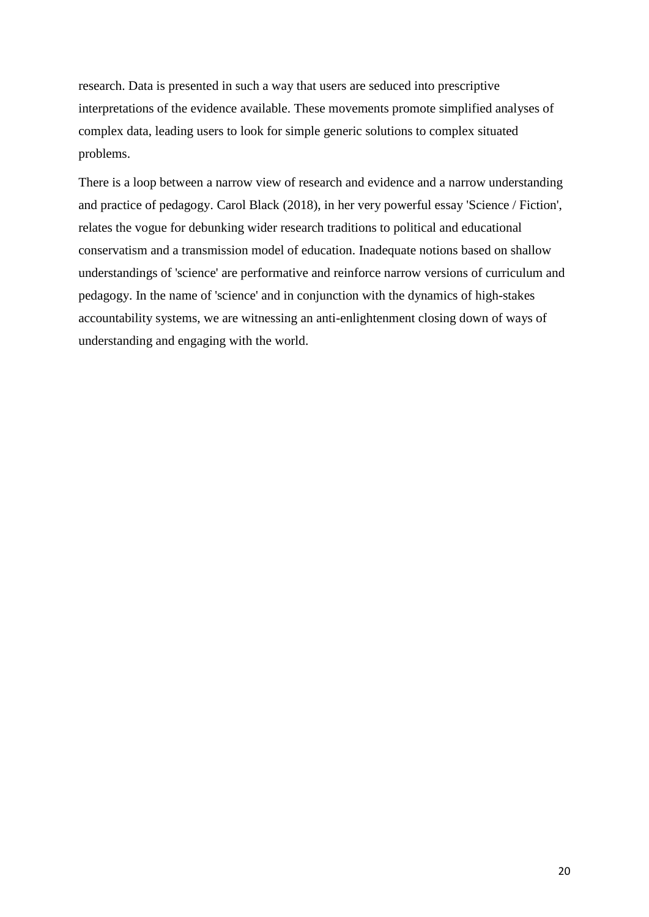research. Data is presented in such a way that users are seduced into prescriptive interpretations of the evidence available. These movements promote simplified analyses of complex data, leading users to look for simple generic solutions to complex situated problems.

There is a loop between a narrow view of research and evidence and a narrow understanding and practice of pedagogy. Carol Black (2018), in her very powerful essay 'Science / Fiction', relates the vogue for debunking wider research traditions to political and educational conservatism and a transmission model of education. Inadequate notions based on shallow understandings of 'science' are performative and reinforce narrow versions of curriculum and pedagogy. In the name of 'science' and in conjunction with the dynamics of high-stakes accountability systems, we are witnessing an anti-enlightenment closing down of ways of understanding and engaging with the world.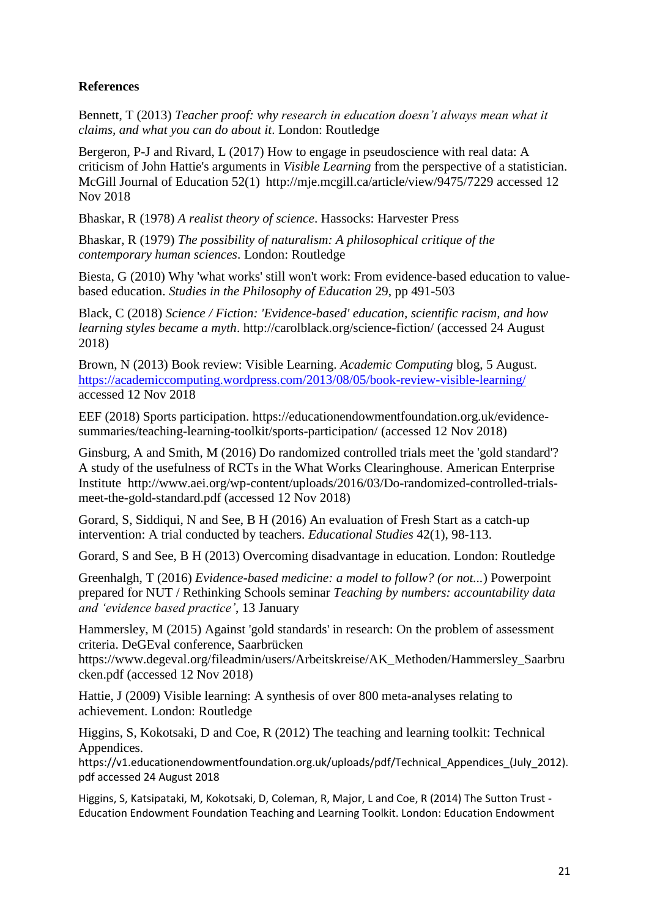## **References**

Bennett, T (2013) *Teacher proof: why research in education doesn't always mean what it claims, and what you can do about it*. London: Routledge

Bergeron, P-J and Rivard, L (2017) How to engage in pseudoscience with real data: A criticism of John Hattie's arguments in *Visible Learning* from the perspective of a statistician. McGill Journal of Education 52(1) http://mje.mcgill.ca/article/view/9475/7229 accessed 12 Nov 2018

Bhaskar, R (1978) *A realist theory of science*. Hassocks: Harvester Press

Bhaskar, R (1979) *The possibility of naturalism: A philosophical critique of the contemporary human sciences*. London: Routledge

Biesta, G (2010) Why 'what works' still won't work: From evidence-based education to valuebased education. *Studies in the Philosophy of Education* 29, pp 491-503

Black, C (2018) *Science / Fiction: 'Evidence-based' education, scientific racism, and how learning styles became a myth*. http://carolblack.org/science-fiction/ (accessed 24 August 2018)

Brown, N (2013) Book review: Visible Learning. *Academic Computing* blog, 5 August. <https://academiccomputing.wordpress.com/2013/08/05/book-review-visible-learning/> accessed 12 Nov 2018

EEF (2018) Sports participation. https://educationendowmentfoundation.org.uk/evidencesummaries/teaching-learning-toolkit/sports-participation/ (accessed 12 Nov 2018)

Ginsburg, A and Smith, M (2016) Do randomized controlled trials meet the 'gold standard'? A study of the usefulness of RCTs in the What Works Clearinghouse. American Enterprise Institute http://www.aei.org/wp-content/uploads/2016/03/Do-randomized-controlled-trialsmeet-the-gold-standard.pdf (accessed 12 Nov 2018)

Gorard, S, Siddiqui, N and See, B H (2016) An evaluation of Fresh Start as a catch-up intervention: A trial conducted by teachers. *Educational Studies* 42(1), 98-113.

Gorard, S and See, B H (2013) Overcoming disadvantage in education. London: Routledge

Greenhalgh, T (2016) *Evidence-based medicine: a model to follow? (or not...*) Powerpoint prepared for NUT / Rethinking Schools seminar *Teaching by numbers: accountability data and 'evidence based practice'*, 13 January

Hammersley, M (2015) Against 'gold standards' in research: On the problem of assessment criteria. DeGEval conference, Saarbrücken

https://www.degeval.org/fileadmin/users/Arbeitskreise/AK\_Methoden/Hammersley\_Saarbru cken.pdf (accessed 12 Nov 2018)

Hattie, J (2009) Visible learning: A synthesis of over 800 meta-analyses relating to achievement. London: Routledge

Higgins, S, Kokotsaki, D and Coe, R (2012) The teaching and learning toolkit: Technical Appendices.

https://v1.educationendowmentfoundation.org.uk/uploads/pdf/Technical\_Appendices\_(July\_2012). pdf accessed 24 August 2018

Higgins, S, Katsipataki, M, Kokotsaki, D, Coleman, R, Major, L and Coe, R (2014) The Sutton Trust - Education Endowment Foundation Teaching and Learning Toolkit. London: Education Endowment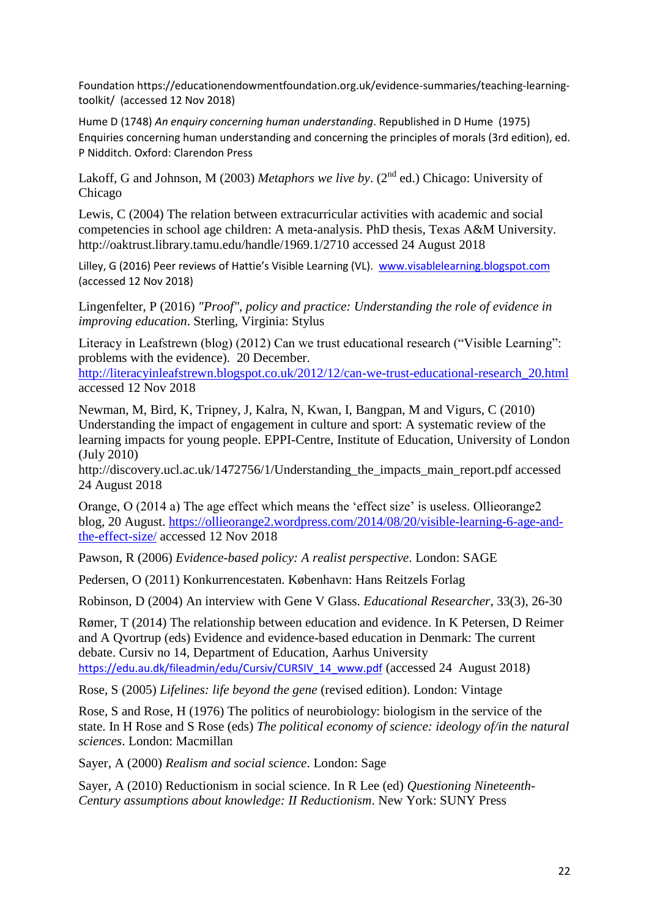Foundation https://educationendowmentfoundation.org.uk/evidence-summaries/teaching-learningtoolkit/ (accessed 12 Nov 2018)

Hume D (1748) *An enquiry concerning human understanding*. Republished in D Hume (1975) Enquiries concerning human understanding and concerning the principles of morals (3rd edition), ed. P Nidditch. Oxford: Clarendon Press

Lakoff, G and Johnson, M (2003) *Metaphors we live by.* (2<sup>nd</sup> ed.) Chicago: University of Chicago

Lewis, C (2004) The relation between extracurricular activities with academic and social competencies in school age children: A meta-analysis. PhD thesis, Texas A&M University. http://oaktrust.library.tamu.edu/handle/1969.1/2710 accessed 24 August 2018

Lilley, G (2016) Peer reviews of Hattie's Visible Learning (VL). [www.visablelearning.blogspot.com](http://www.visablelearning.blogspot.com/) (accessed 12 Nov 2018)

Lingenfelter, P (2016) *"Proof", policy and practice: Understanding the role of evidence in improving education*. Sterling, Virginia: Stylus

Literacy in Leafstrewn (blog) (2012) Can we trust educational research ("Visible Learning": problems with the evidence). 20 December.

[http://literacyinleafstrewn.blogspot.co.uk/2012/12/can-we-trust-educational-research\\_20.html](http://literacyinleafstrewn.blogspot.co.uk/2012/12/can-we-trust-educational-research_20.html) accessed 12 Nov 2018

Newman, M, Bird, K, Tripney, J, Kalra, N, Kwan, I, Bangpan, M and Vigurs, C (2010) Understanding the impact of engagement in culture and sport: A systematic review of the learning impacts for young people. EPPI-Centre, Institute of Education, University of London (July 2010)

http://discovery.ucl.ac.uk/1472756/1/Understanding\_the\_impacts\_main\_report.pdf accessed 24 August 2018

Orange, O (2014 a) The age effect which means the 'effect size' is useless. Ollieorange2 blog, 20 August. [https://ollieorange2.wordpress.com/2014/08/20/visible-learning-6-age-and](https://ollieorange2.wordpress.com/2014/08/20/visible-learning-6-age-and-the-effect-size/)[the-effect-size/](https://ollieorange2.wordpress.com/2014/08/20/visible-learning-6-age-and-the-effect-size/) accessed 12 Nov 2018

Pawson, R (2006) *Evidence-based policy: A realist perspective*. London: SAGE

Pedersen, O (2011) Konkurrencestaten. København: Hans Reitzels Forlag

Robinson, D (2004) An interview with Gene V Glass. *Educational Researcher*, 33(3), 26-30

Rømer, T (2014) The relationship between education and evidence. In K Petersen, D Reimer and A Qvortrup (eds) Evidence and evidence-based education in Denmark: The current debate. Cursiv no 14, Department of Education, Aarhus University [https://edu.au.dk/fileadmin/edu/Cursiv/CURSIV\\_14\\_www.pdf](https://edu.au.dk/fileadmin/edu/Cursiv/CURSIV_14_www.pdf) (accessed 24 August 2018)

Rose, S (2005) *Lifelines: life beyond the gene* (revised edition). London: Vintage

Rose, S and Rose, H (1976) The politics of neurobiology: biologism in the service of the state. In H Rose and S Rose (eds) *The political economy of science: ideology of/in the natural sciences*. London: Macmillan

Sayer, A (2000) *Realism and social science*. London: Sage

Sayer, A (2010) Reductionism in social science. In R Lee (ed) *Questioning Nineteenth-Century assumptions about knowledge: II Reductionism*. New York: SUNY Press